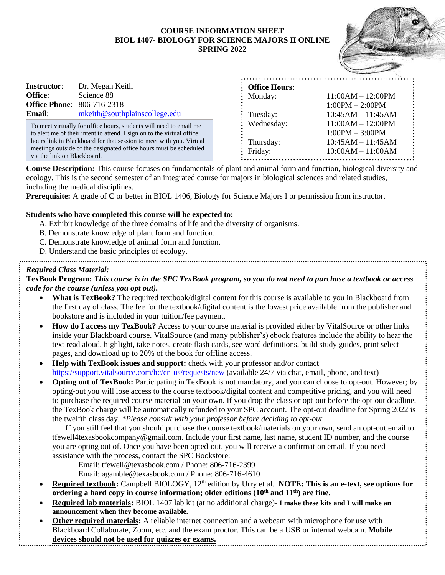## **COURSE INFORMATION SHEET BIOL 1407- BIOLOGY FOR SCIENCE MAJORS II ONLINE SPRING 2022**



| <b>Instructor:</b> | Dr. Megan Keith                   |
|--------------------|-----------------------------------|
| <b>Office:</b>     | Science 88                        |
|                    | <b>Office Phone:</b> 806-716-2318 |
| <b>Email:</b>      | mkeith@southplainscollege.edu     |

To meet virtually for office hours, students will need to email me to alert me of their intent to attend. I sign on to the virtual office hours link in Blackboard for that session to meet with you. Virtual meetings outside of the designated office hours must be scheduled via the link on Blackboard.

| <b>Office Hours:</b> |                     |
|----------------------|---------------------|
| Monday:              | $11:00AM - 12:00PM$ |
|                      | $1:00PM - 2:00PM$   |
| Tuesday:             | $10:45AM - 11:45AM$ |
| Wednesday:           | $11:00AM - 12:00PM$ |
|                      | $1:00PM - 3:00PM$   |
| Thursday:            | $10:45AM - 11:45AM$ |
| Friday:              | $10:00AM - 11:00AM$ |

**Course Description:** This course focuses on fundamentals of plant and animal form and function, biological diversity and ecology. This is the second semester of an integrated course for majors in biological sciences and related studies, including the medical disciplines.

**Prerequisite:** A grade of **C** or better in BIOL 1406, Biology for Science Majors I or permission from instructor.

# **Students who have completed this course will be expected to:**

- A. Exhibit knowledge of the three domains of life and the diversity of organisms.
- B. Demonstrate knowledge of plant form and function.
- C. Demonstrate knowledge of animal form and function.
- D. Understand the basic principles of ecology.

## *Required Class Material:*

**TexBook Program:** *This course is in the SPC TexBook program, so you do not need to purchase a textbook or access code for the course (unless you opt out).*

- **What is TexBook?** The required textbook/digital content for this course is available to you in Blackboard from the first day of class. The fee for the textbook/digital content is the lowest price available from the publisher and bookstore and is included in your tuition/fee payment.
- **How do I access my TexBook?** Access to your course material is provided either by VitalSource or other links inside your Blackboard course. VitalSource (and many publisher's) ebook features include the ability to hear the text read aloud, highlight, take notes, create flash cards, see word definitions, build study guides, print select pages, and download up to 20% of the book for offline access.
- **Help with TexBook issues and support:** check with your professor and/or contact <https://support.vitalsource.com/hc/en-us/requests/new> (available 24/7 via chat, email, phone, and text)
- **Opting out of TexBook:** Participating in TexBook is not mandatory, and you can choose to opt-out. However; by opting-out you will lose access to the course textbook/digital content and competitive pricing, and you will need to purchase the required course material on your own. If you drop the class or opt-out before the opt-out deadline, the TexBook charge will be automatically refunded to your SPC account. The opt-out deadline for Spring 2022 is the twelfth class day. *\*Please consult with your professor before deciding to opt-out.*

If you still feel that you should purchase the course textbook/materials on your own, send an opt-out email to tfewell4texasbookcompany@gmail.com. Include your first name, last name, student ID number, and the course you are opting out of. Once you have been opted-out, you will receive a confirmation email. If you need assistance with the process, contact the SPC Bookstore:

Email: tfewell@texasbook.com / Phone: 806-716-2399

Email: agamble@texasbook.com / Phone: 806-716-4610

- **Required textbook:** Campbell BIOLOGY, 12<sup>th</sup> edition by Urry et al. **NOTE: This is an e-text, see options for ordering a hard copy in course information; older editions (10th and 11th) are fine.**
- **Required lab materials:** BIOL 1407 lab kit (at no additional charge)- **I make these kits and I will make an announcement when they become available.**
- **Other required materials:** A reliable internet connection and a webcam with microphone for use with Blackboard Collaborate, Zoom, etc. and the exam proctor. This can be a USB or internal webcam. **Mobile devices should not be used for quizzes or exams.**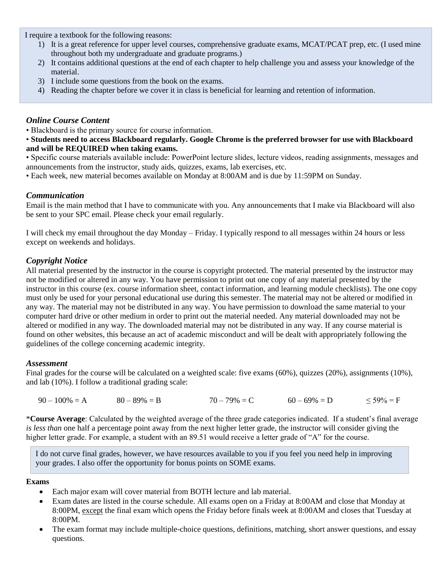I require a textbook for the following reasons:

- 1) It is a great reference for upper level courses, comprehensive graduate exams, MCAT/PCAT prep, etc. (I used mine throughout both my undergraduate and graduate programs.)
- 2) It contains additional questions at the end of each chapter to help challenge you and assess your knowledge of the material.
- 3) I include some questions from the book on the exams.
- 4) Reading the chapter before we cover it in class is beneficial for learning and retention of information.

# *Online Course Content*

• Blackboard is the primary source for course information.

• **Students need to access Blackboard regularly. Google Chrome is the preferred browser for use with Blackboard and will be REQUIRED when taking exams.**

• Specific course materials available include: PowerPoint lecture slides, lecture videos, reading assignments, messages and announcements from the instructor, study aids, quizzes, exams, lab exercises, etc.

• Each week, new material becomes available on Monday at 8:00AM and is due by 11:59PM on Sunday.

# *Communication*

Email is the main method that I have to communicate with you. Any announcements that I make via Blackboard will also be sent to your SPC email. Please check your email regularly.

I will check my email throughout the day Monday – Friday. I typically respond to all messages within 24 hours or less except on weekends and holidays.

# *Copyright Notice*

All material presented by the instructor in the course is copyright protected. The material presented by the instructor may not be modified or altered in any way. You have permission to print out one copy of any material presented by the instructor in this course (ex. course information sheet, contact information, and learning module checklists). The one copy must only be used for your personal educational use during this semester. The material may not be altered or modified in any way. The material may not be distributed in any way. You have permission to download the same material to your computer hard drive or other medium in order to print out the material needed. Any material downloaded may not be altered or modified in any way. The downloaded material may not be distributed in any way. If any course material is found on other websites, this because an act of academic misconduct and will be dealt with appropriately following the guidelines of the college concerning academic integrity.

#### *Assessment*

Final grades for the course will be calculated on a weighted scale: five exams (60%), quizzes (20%), assignments (10%), and lab (10%). I follow a traditional grading scale:

|  | $90 - 100\% = A$ | $80 - 89\% = B$ | $70 - 79\% = C$ | $60 - 69\% = D$ | $\leq 59\% = F$ |
|--|------------------|-----------------|-----------------|-----------------|-----------------|
|--|------------------|-----------------|-----------------|-----------------|-----------------|

\***Course Average**: Calculated by the weighted average of the three grade categories indicated. If a student's final average *is less than* one half a percentage point away from the next higher letter grade, the instructor will consider giving the higher letter grade. For example, a student with an 89.51 would receive a letter grade of "A" for the course.

I do not curve final grades, however, we have resources available to you if you feel you need help in improving your grades. I also offer the opportunity for bonus points on SOME exams.

#### **Exams**

- Each major exam will cover material from BOTH lecture and lab material.
- Exam dates are listed in the course schedule. All exams open on a Friday at 8:00AM and close that Monday at 8:00PM, except the final exam which opens the Friday before finals week at 8:00AM and closes that Tuesday at 8:00PM.
- The exam format may include multiple-choice questions, definitions, matching, short answer questions, and essay questions.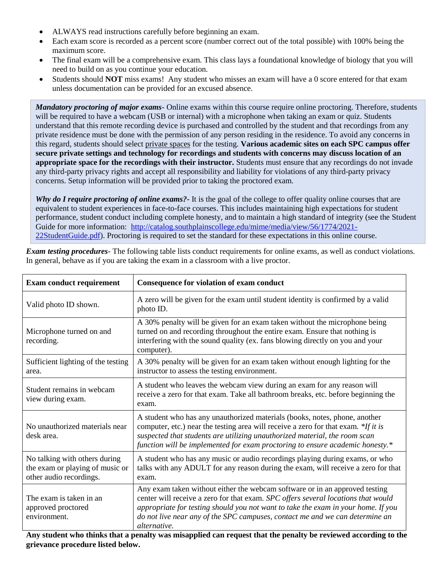- ALWAYS read instructions carefully before beginning an exam.
- Each exam score is recorded as a percent score (number correct out of the total possible) with 100% being the maximum score.
- The final exam will be a comprehensive exam. This class lays a foundational knowledge of biology that you will need to build on as you continue your education.
- Students should **NOT** miss exams! Any student who misses an exam will have a 0 score entered for that exam unless documentation can be provided for an excused absence.

*Mandatory proctoring of major exams-* Online exams within this course require online proctoring. Therefore, students will be required to have a webcam (USB or internal) with a microphone when taking an exam or quiz. Students understand that this remote recording device is purchased and controlled by the student and that recordings from any private residence must be done with the permission of any person residing in the residence. To avoid any concerns in this regard, students should select private spaces for the testing. **Various academic sites on each SPC campus offer secure private settings and technology for recordings and students with concerns may discuss location of an appropriate space for the recordings with their instructor.** Students must ensure that any recordings do not invade any third-party privacy rights and accept all responsibility and liability for violations of any third-party privacy concerns. Setup information will be provided prior to taking the proctored exam.

*Why do I require proctoring of online exams?-* It is the goal of the college to offer quality online courses that are equivalent to student experiences in face-to-face courses. This includes maintaining high expectations for student performance, student conduct including complete honesty, and to maintain a high standard of integrity (see the Student Guide for more information: [http://catalog.southplainscollege.edu/mime/media/view/56/1774/2021-](http://catalog.southplainscollege.edu/mime/media/view/56/1774/2021-22StudentGuide.pdf) [22StudentGuide.pdf\)](http://catalog.southplainscollege.edu/mime/media/view/56/1774/2021-22StudentGuide.pdf). Proctoring is required to set the standard for these expectations in this online course.

| <b>Exam conduct requirement</b>                                                             | Consequence for violation of exam conduct                                                                                                                                                                                                                                                                                                             |
|---------------------------------------------------------------------------------------------|-------------------------------------------------------------------------------------------------------------------------------------------------------------------------------------------------------------------------------------------------------------------------------------------------------------------------------------------------------|
| Valid photo ID shown.                                                                       | A zero will be given for the exam until student identity is confirmed by a valid<br>photo ID.                                                                                                                                                                                                                                                         |
| Microphone turned on and<br>recording.                                                      | A 30% penalty will be given for an exam taken without the microphone being<br>turned on and recording throughout the entire exam. Ensure that nothing is<br>interfering with the sound quality (ex. fans blowing directly on you and your<br>computer).                                                                                               |
| Sufficient lighting of the testing<br>area.                                                 | A 30% penalty will be given for an exam taken without enough lighting for the<br>instructor to assess the testing environment.                                                                                                                                                                                                                        |
| Student remains in webcam<br>view during exam.                                              | A student who leaves the webcam view during an exam for any reason will<br>receive a zero for that exam. Take all bathroom breaks, etc. before beginning the<br>exam.                                                                                                                                                                                 |
| No unauthorized materials near<br>desk area.                                                | A student who has any unauthorized materials (books, notes, phone, another<br>computer, etc.) near the testing area will receive a zero for that exam. *If it is<br>suspected that students are utilizing unauthorized material, the room scan<br>function will be implemented for exam proctoring to ensure academic honesty.*                       |
| No talking with others during<br>the exam or playing of music or<br>other audio recordings. | A student who has any music or audio recordings playing during exams, or who<br>talks with any ADULT for any reason during the exam, will receive a zero for that<br>exam.                                                                                                                                                                            |
| The exam is taken in an<br>approved proctored<br>environment.                               | Any exam taken without either the webcam software or in an approved testing<br>center will receive a zero for that exam. SPC offers several locations that would<br>appropriate for testing should you not want to take the exam in your home. If you<br>do not live near any of the SPC campuses, contact me and we can determine an<br>alternative. |

*Exam testing procedures*- The following table lists conduct requirements for online exams, as well as conduct violations. In general, behave as if you are taking the exam in a classroom with a live proctor.

**Any student who thinks that a penalty was misapplied can request that the penalty be reviewed according to the grievance procedure listed below.**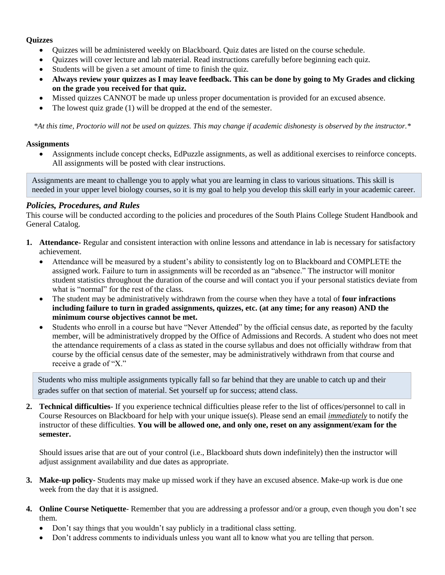## **Quizzes**

- Quizzes will be administered weekly on Blackboard. Quiz dates are listed on the course schedule.
- Quizzes will cover lecture and lab material. Read instructions carefully before beginning each quiz.
- Students will be given a set amount of time to finish the quiz.
- **Always review your quizzes as I may leave feedback. This can be done by going to My Grades and clicking on the grade you received for that quiz.**
- Missed quizzes CANNOT be made up unless proper documentation is provided for an excused absence.
- The lowest quiz grade (1) will be dropped at the end of the semester.

*\*At this time, Proctorio will not be used on quizzes. This may change if academic dishonesty is observed by the instructor.\**

### **Assignments**

• Assignments include concept checks, EdPuzzle assignments, as well as additional exercises to reinforce concepts. All assignments will be posted with clear instructions.

Assignments are meant to challenge you to apply what you are learning in class to various situations. This skill is needed in your upper level biology courses, so it is my goal to help you develop this skill early in your academic career.

# *Policies, Procedures, and Rules*

This course will be conducted according to the policies and procedures of the South Plains College Student Handbook and General Catalog.

- **1. Attendance-** Regular and consistent interaction with online lessons and attendance in lab is necessary for satisfactory achievement.
	- Attendance will be measured by a student's ability to consistently log on to Blackboard and COMPLETE the assigned work. Failure to turn in assignments will be recorded as an "absence." The instructor will monitor student statistics throughout the duration of the course and will contact you if your personal statistics deviate from what is "normal" for the rest of the class.
	- The student may be administratively withdrawn from the course when they have a total of **four infractions including failure to turn in graded assignments, quizzes, etc. (at any time; for any reason) AND the minimum course objectives cannot be met.**
	- Students who enroll in a course but have "Never Attended" by the official census date, as reported by the faculty member, will be administratively dropped by the Office of Admissions and Records. A student who does not meet the attendance requirements of a class as stated in the course syllabus and does not officially withdraw from that course by the official census date of the semester, may be administratively withdrawn from that course and receive a grade of "X."

Students who miss multiple assignments typically fall so far behind that they are unable to catch up and their grades suffer on that section of material. Set yourself up for success; attend class.

**2. Technical difficulties**- If you experience technical difficulties please refer to the list of offices/personnel to call in Course Resources on Blackboard for help with your unique issue(s). Please send an email *immediately* to notify the instructor of these difficulties. **You will be allowed one, and only one, reset on any assignment/exam for the semester.**

Should issues arise that are out of your control (i.e., Blackboard shuts down indefinitely) then the instructor will adjust assignment availability and due dates as appropriate.

- **3. Make-up policy** Students may make up missed work if they have an excused absence. Make-up work is due one week from the day that it is assigned.
- **4. Online Course Netiquette** Remember that you are addressing a professor and/or a group, even though you don't see them.
	- Don't say things that you wouldn't say publicly in a traditional class setting.
	- Don't address comments to individuals unless you want all to know what you are telling that person.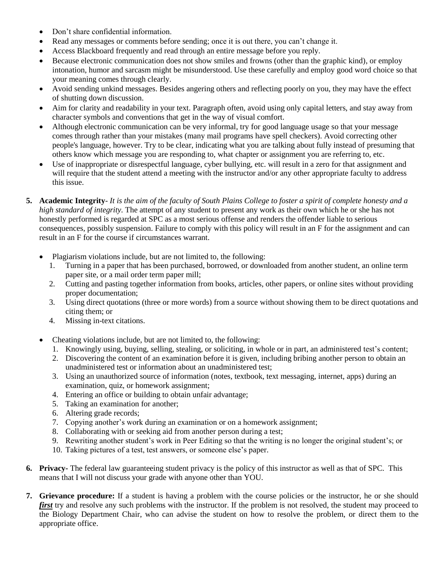- Don't share confidential information.
- Read any messages or comments before sending; once it is out there, you can't change it.
- Access Blackboard frequently and read through an entire message before you reply.
- Because electronic communication does not show smiles and frowns (other than the graphic kind), or employ intonation, humor and sarcasm might be misunderstood. Use these carefully and employ good word choice so that your meaning comes through clearly.
- Avoid sending unkind messages. Besides angering others and reflecting poorly on you, they may have the effect of shutting down discussion.
- Aim for clarity and readability in your text. Paragraph often, avoid using only capital letters, and stay away from character symbols and conventions that get in the way of visual comfort.
- Although electronic communication can be very informal, try for good language usage so that your message comes through rather than your mistakes (many mail programs have spell checkers). Avoid correcting other people's language, however. Try to be clear, indicating what you are talking about fully instead of presuming that others know which message you are responding to, what chapter or assignment you are referring to, etc.
- Use of inappropriate or disrespectful language, cyber bullying, etc. will result in a zero for that assignment and will require that the student attend a meeting with the instructor and/or any other appropriate faculty to address this issue.
- **5. Academic Integrity** *It is the aim of the faculty of South Plains College to foster a spirit of complete honesty and a high standard of integrity.* The attempt of any student to present any work as their own which he or she has not honestly performed is regarded at SPC as a most serious offense and renders the offender liable to serious consequences, possibly suspension. Failure to comply with this policy will result in an F for the assignment and can result in an F for the course if circumstances warrant.
	- Plagiarism violations include, but are not limited to, the following:
		- 1. Turning in a paper that has been purchased, borrowed, or downloaded from another student, an online term paper site, or a mail order term paper mill;
		- 2. Cutting and pasting together information from books, articles, other papers, or online sites without providing proper documentation;
		- 3. Using direct quotations (three or more words) from a source without showing them to be direct quotations and citing them; or
		- 4. Missing in-text citations.
	- Cheating violations include, but are not limited to, the following:
		- 1. Knowingly using, buying, selling, stealing, or soliciting, in whole or in part, an administered test's content;
		- 2. Discovering the content of an examination before it is given, including bribing another person to obtain an unadministered test or information about an unadministered test;
		- 3. Using an unauthorized source of information (notes, textbook, text messaging, internet, apps) during an examination, quiz, or homework assignment;
		- 4. Entering an office or building to obtain unfair advantage;
		- 5. Taking an examination for another;
		- 6. Altering grade records;
		- 7. Copying another's work during an examination or on a homework assignment;
		- 8. Collaborating with or seeking aid from another person during a test;
		- 9. Rewriting another student's work in Peer Editing so that the writing is no longer the original student's; or
		- 10. Taking pictures of a test, test answers, or someone else's paper.
- **6. Privacy-** The federal law guaranteeing student privacy is the policy of this instructor as well as that of SPC. This means that I will not discuss your grade with anyone other than YOU.
- **7. Grievance procedure:** If a student is having a problem with the course policies or the instructor, he or she should *first* try and resolve any such problems with the instructor. If the problem is not resolved, the student may proceed to the Biology Department Chair, who can advise the student on how to resolve the problem, or direct them to the appropriate office.